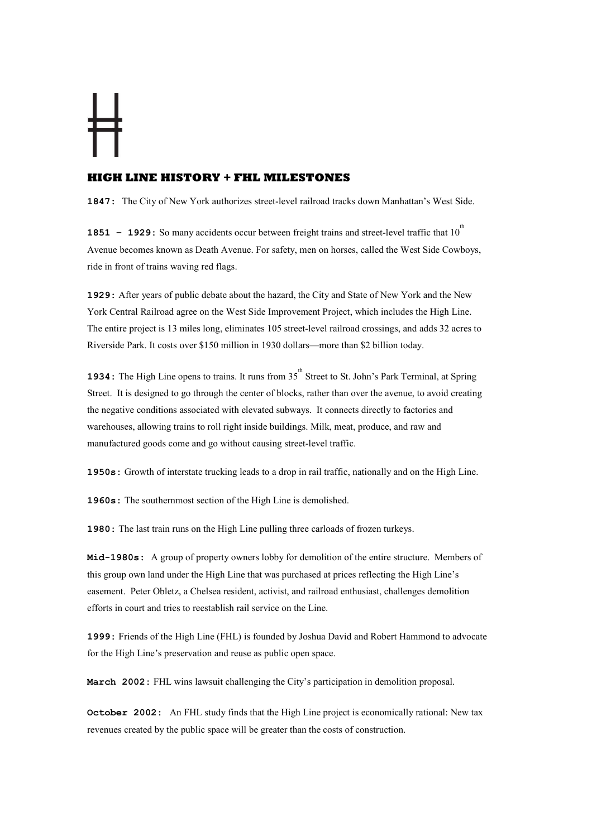## **HIGH LINE HISTORY + FHL MILESTONES**

1847: The City of New York authorizes street-level railroad tracks down Manhattan's West Side.

**1851** – **1929:** So many accidents occur between freight trains and street-level traffic that 10<sup>th</sup> Avenue becomes known as Death Avenue. For safety, men on horses, called the West Side Cowboys, ride in front of trains waving red flags.

1929: After years of public debate about the hazard, the City and State of New York and the New York Central Railroad agree on the West Side Improvement Project, which includes the High Line. The entire project is 13 miles long, eliminates 105 street-level railroad crossings, and adds 32 acres to Riverside Park. It costs over \$150 million in 1930 dollars—more than \$2 billion today.

**1934:** The High Line opens to trains. It runs from  $35<sup>th</sup>$  Street to St. John's Park Terminal, at Spring Street. It is designed to go through the center of blocks, rather than over the avenue, to avoid creating the negative conditions associated with elevated subways. It connects directly to factories and warehouses, allowing trains to roll right inside buildings. Milk, meat, produce, and raw and manufactured goods come and go without causing street-level traffic.

1950s: Growth of interstate trucking leads to a drop in rail traffic, nationally and on the High Line.

1960s: The southernmost section of the High Line is demolished.

1980: The last train runs on the High Line pulling three carloads of frozen turkeys.

Mid-1980s: A group of property owners lobby for demolition of the entire structure. Members of this group own land under the High Line that was purchased at prices reflecting the High Line's easement. Peter Obletz, a Chelsea resident, activist, and railroad enthusiast, challenges demolition efforts in court and tries to reestablish rail service on the Line.

1999: Friends of the High Line (FHL) is founded by Joshua David and Robert Hammond to advocate for the High Line's preservation and reuse as public open space.

March 2002: FHL wins lawsuit challenging the City's participation in demolition proposal.

October 2002: An FHL study finds that the High Line project is economically rational: New tax revenues created by the public space will be greater than the costs of construction.